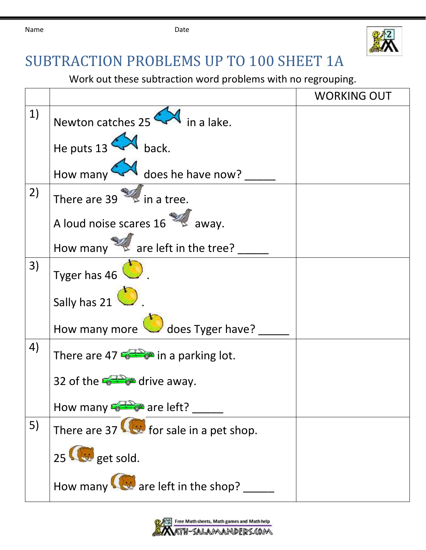

## SUBTRACTION PROBLEMS UP TO 100 SHEET 1A

Work out these subtraction word problems with no regrouping.

|    |                                                                 | <b>WORKING OUT</b> |
|----|-----------------------------------------------------------------|--------------------|
| 1) | Newton catches $25 \leftarrow$ in a lake.                       |                    |
|    | He puts $13$ M back.                                            |                    |
|    | How many $\leftarrow$ does he have now?                         |                    |
| 2) | There are 39 $\approx$ in a tree.                               |                    |
|    | A loud noise scares 16                                          |                    |
|    | How many $\mathbb{Z}$ are left in the tree?                     |                    |
| 3) | Tyger has 46                                                    |                    |
|    | Sally has $21$                                                  |                    |
|    | How many more does Tyger have?                                  |                    |
| 4) | There are 47 $\bullet$ in a parking lot.                        |                    |
|    | 32 of the $\frac{1}{2}$ $\frac{1}{2}$ drive away.               |                    |
|    | How many $\frac{2\pi}{\sqrt{2}}$ are left?                      |                    |
| 5) | There are 37 $\left(\frac{1}{2}\right)$ for sale in a pet shop. |                    |
|    | 25 <b>G</b> get sold.                                           |                    |
|    | How many $\bigotimes$ are left in the shop?                     |                    |